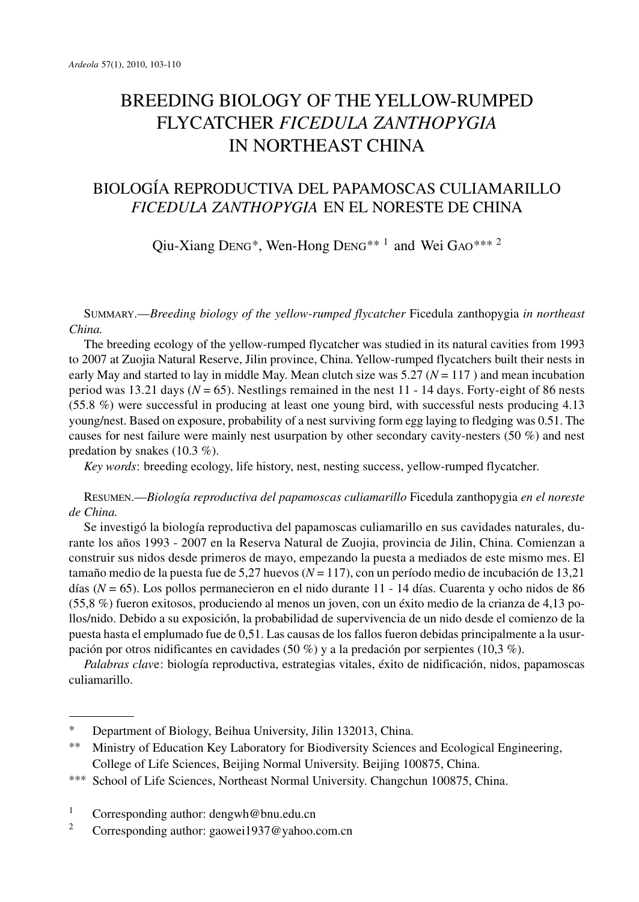# BREEDING BIOLOGY OF THE YELLOW-RUMPED FLYCATCHER *FICEDULA ZANTHOPYGIA* IN NORTHEAST CHINA

# BIOLOGÍA REPRODUCTIVA DEL PAPAMOSCAS CULIAMARILLO *FICEDULA ZANTHOPYGIA* EN EL NORESTE DE CHINA

Qiu-Xiang DENG\*, Wen-Hong DENG\*\* <sup>1</sup> and Wei GAO\*\*\* <sup>2</sup>

SUMMARY.—*Breeding biology of the yellow-rumped flycatcher* Ficedula zanthopygia *in northeast China.*

The breeding ecology of the yellow-rumped flycatcher was studied in its natural cavities from 1993 to 2007 at Zuojia Natural Reserve, Jilin province, China. Yellow-rumped flycatchers built their nests in early May and started to lay in middle May. Mean clutch size was  $5.27 (N = 117)$  and mean incubation period was 13.21 days ( $N = 65$ ). Nestlings remained in the nest 11 - 14 days. Forty-eight of 86 nests (55.8 %) were successful in producing at least one young bird, with successful nests producing 4.13 young/nest. Based on exposure, probability of a nest surviving form egg laying to fledging was 0.51. The causes for nest failure were mainly nest usurpation by other secondary cavity-nesters (50 %) and nest predation by snakes (10.3 %).

*Key words*: breeding ecology, life history, nest, nesting success, yellow-rumped flycatcher.

RESUMEN.—*Biología reproductiva del papamoscas culiamarillo* Ficedula zanthopygia *en el noreste de China.*

Se investigó la biología reproductiva del papamoscas culiamarillo en sus cavidades naturales, durante los años 1993 - 2007 en la Reserva Natural de Zuojia, provincia de Jilin, China. Comienzan a construir sus nidos desde primeros de mayo, empezando la puesta a mediados de este mismo mes. El tamaño medio de la puesta fue de 5,27 huevos (*N* = 117), con un período medio de incubación de 13,21 días (*N* = 65). Los pollos permanecieron en el nido durante 11 - 14 días. Cuarenta y ocho nidos de 86 (55,8 %) fueron exitosos, produciendo al menos un joven, con un éxito medio de la crianza de 4,13 pollos/nido. Debido a su exposición, la probabilidad de supervivencia de un nido desde el comienzo de la puesta hasta el emplumado fue de 0,51. Las causas de los fallos fueron debidas principalmente a la usurpación por otros nidificantes en cavidades (50 %) y a la predación por serpientes (10,3 %).

*Palabras clav*e: biología reproductiva, estrategias vitales, éxito de nidificación, nidos, papamoscas culiamarillo.

- \*\* Ministry of Education Key Laboratory for Biodiversity Sciences and Ecological Engineering, College of Life Sciences, Beijing Normal University. Beijing 100875, China.
- \*\*\* School of Life Sciences, Northeast Normal University. Changchun 100875, China.
- <sup>1</sup> Corresponding author: dengwh@bnu.edu.cn<br><sup>2</sup> Corresponding outhor: geomet1027@veboo.
- <sup>2</sup> Corresponding author: gaowei1937@yahoo.com.cn

<sup>\*</sup> Department of Biology, Beihua University, Jilin 132013, China.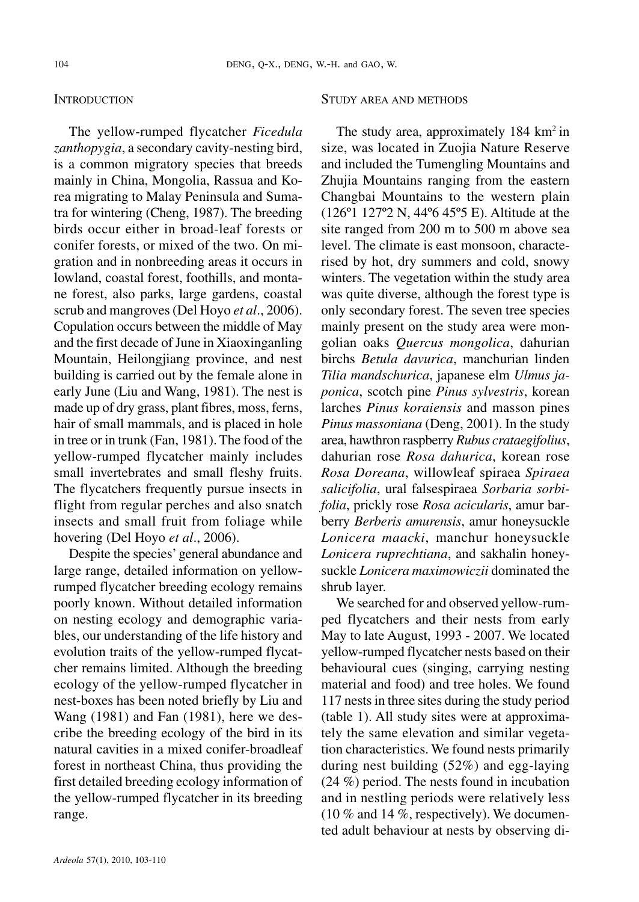# **INTRODUCTION**

The yellow-rumped flycatcher *Ficedula zanthopygia*, a secondary cavity-nesting bird, is a common migratory species that breeds mainly in China, Mongolia, Rassua and Korea migrating to Malay Peninsula and Sumatra for wintering (Cheng, 1987). The breeding birds occur either in broad-leaf forests or conifer forests, or mixed of the two. On migration and in nonbreeding areas it occurs in lowland, coastal forest, foothills, and montane forest, also parks, large gardens, coastal scrub and mangroves(Del Hoyo *et al*., 2006). Copulation occurs between the middle of May and the first decade of June in Xiaoxinganling Mountain, Heilongjiang province, and nest building is carried out by the female alone in early June (Liu and Wang, 1981). The nest is made up of dry grass, plant fibres, moss, ferns, hair of small mammals, and is placed in hole in tree or in trunk (Fan, 1981). The food of the yellow-rumped flycatcher mainly includes small invertebrates and small fleshy fruits. The flycatchers frequently pursue insects in flight from regular perches and also snatch insects and small fruit from foliage while hovering (Del Hoyo *et al*., 2006).

Despite the species' general abundance and large range, detailed information on yellowrumped flycatcher breeding ecology remains poorly known. Without detailed information on nesting ecology and demographic variables, our understanding of the life history and evolution traits of the yellow-rumped flycatcher remains limited. Although the breeding ecology of the yellow-rumped flycatcher in nest-boxes has been noted briefly by Liu and Wang (1981) and Fan (1981), here we describe the breeding ecology of the bird in its natural cavities in a mixed conifer-broadleaf forest in northeast China, thus providing the first detailed breeding ecology information of the yellow-rumped flycatcher in its breeding range.

#### STUDY AREA AND METHODS

The study area, approximately  $184 \text{ km}^2$  in size, was located in Zuojia Nature Reserve and included the Tumengling Mountains and Zhujia Mountains ranging from the eastern Changbai Mountains to the western plain (126º1 127º2 N, 44º6 45º5 E). Altitude at the site ranged from 200 m to 500 m above sea level. The climate is east monsoon, characterised by hot, dry summers and cold, snowy winters. The vegetation within the study area was quite diverse, although the forest type is only secondary forest. The seven tree species mainly present on the study area were mongolian oaks *Quercus mongolica*, dahurian birchs *Betula davurica*, manchurian linden *Tilia mandschurica*, japanese elm *Ulmus japonica*, scotch pine *Pinus sylvestris*, korean larches *Pinus koraiensis* and masson pines *Pinus massoniana* (Deng, 2001). In the study area, hawthron raspberry *Rubus crataegifolius*, dahurian rose *Rosa dahurica*, korean rose *Rosa Doreana*, willowleaf spiraea *Spiraea salicifolia*, ural falsespiraea *Sorbaria sorbifolia*, prickly rose *Rosa acicularis*, amur barberry *Berberis amurensis*, amur honeysuckle *Lonicera maacki*, manchur honeysuckle *Lonicera ruprechtiana*, and sakhalin honeysuckle *Lonicera maximowiczii* dominated the shrub layer.

We searched for and observed yellow-rumped flycatchers and their nests from early May to late August, 1993 - 2007. We located yellow-rumped flycatcher nests based on their behavioural cues (singing, carrying nesting material and food) and tree holes. We found 117 nests in three sites during the study period (table 1). All study sites were at approximately the same elevation and similar vegetation characteristics. We found nests primarily during nest building (52%) and egg-laying (24 %) period. The nests found in incubation and in nestling periods were relatively less  $(10\%$  and  $14\%$ , respectively). We documented adult behaviour at nests by observing di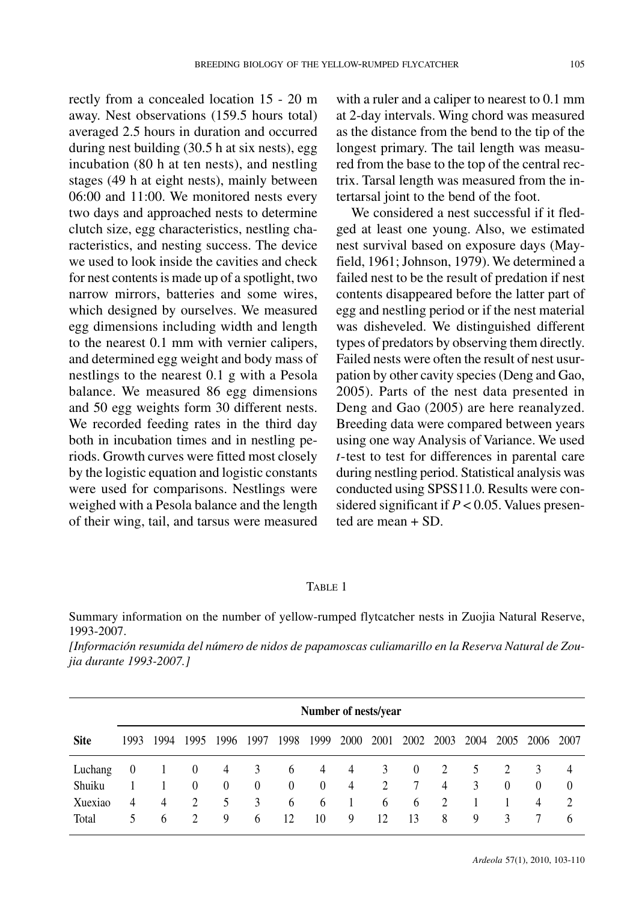rectly from a concealed location 15 - 20 m away. Nest observations (159.5 hours total) averaged 2.5 hours in duration and occurred during nest building (30.5 h at six nests), egg incubation (80 h at ten nests), and nestling stages (49 h at eight nests), mainly between 06:00 and 11:00. We monitored nests every two days and approached nests to determine clutch size, egg characteristics, nestling characteristics, and nesting success. The device we used to look inside the cavities and check for nest contentsis made up of a spotlight, two narrow mirrors, batteries and some wires, which designed by ourselves. We measured egg dimensions including width and length to the nearest 0.1 mm with vernier calipers, and determined egg weight and body mass of nestlings to the nearest 0.1 g with a Pesola balance. We measured 86 egg dimensions and 50 egg weights form 30 different nests. We recorded feeding rates in the third day both in incubation times and in nestling periods. Growth curves were fitted most closely by the logistic equation and logistic constants were used for comparisons. Nestlings were weighed with a Pesola balance and the length of their wing, tail, and tarsus were measured with a ruler and a caliper to nearest to 0.1 mm at 2-day intervals. Wing chord was measured as the distance from the bend to the tip of the longest primary. The tail length was measured from the base to the top of the central rectrix. Tarsal length was measured from the intertarsal joint to the bend of the foot.

We considered a nest successful if it fledged at least one young. Also, we estimated nest survival based on exposure days (Mayfield, 1961; Johnson, 1979). We determined a failed nest to be the result of predation if nest contents disappeared before the latter part of egg and nestling period or if the nest material was disheveled. We distinguished different types of predators by observing them directly. Failed nests were often the result of nest usurpation by other cavity species(Deng and Gao, 2005). Parts of the nest data presented in Deng and Gao (2005) are here reanalyzed. Breeding data were compared between years using one way Analysis of Variance. We used *t*-test to test for differences in parental care during nestling period. Statistical analysis was conducted using SPSS11.0. Results were considered significant if  $P < 0.05$ . Values presented are mean + SD.

## TABLE 1

Summary information on the number of yellow-rumped flytcatcher nests in Zuojia Natural Reserve, 1993-2007.

*[Información resumida del número de nidos de papamoscas culiamarillo en la Reserva Natural de Zoujia durante 1993-2007.]*

|             | Number of nests/year |              |                |          |                |          |                |                |      |                |      |      |          |                |               |
|-------------|----------------------|--------------|----------------|----------|----------------|----------|----------------|----------------|------|----------------|------|------|----------|----------------|---------------|
| <b>Site</b> | 1993                 | 1994         | 1995           | 1996     | 1997           | 1998     | 1999           | 2000           | 2001 | 2002           | 2003 | 2004 | 2005     | 2006           | 2007          |
| Luchang     | $\theta$             |              | $\theta$       | 4        | 3              | 6        | 4              | $\overline{4}$ | 3    | $\overline{0}$ | 2    | 5    | 2        | 3              | 4             |
| Shuiku      |                      |              | $\theta$       | $\left($ | $\overline{0}$ | $\theta$ | $\overline{0}$ | 4              | 2    | 7              | 4    | 3    | $\theta$ | $\theta$       | $\theta$      |
| Xuexiao     | 4                    | 4            | 2              | 5        | 3              | 6        | 6              | -1             | 6    | 6              | 2    |      |          | $\overline{4}$ | $\mathcal{L}$ |
| Total       | 5.                   | <sub>b</sub> | $\mathfrak{D}$ | 9        | 6              | 12       | 10             | 9              | 12   | 13             | 8    | 9    | 3        |                | <sub>6</sub>  |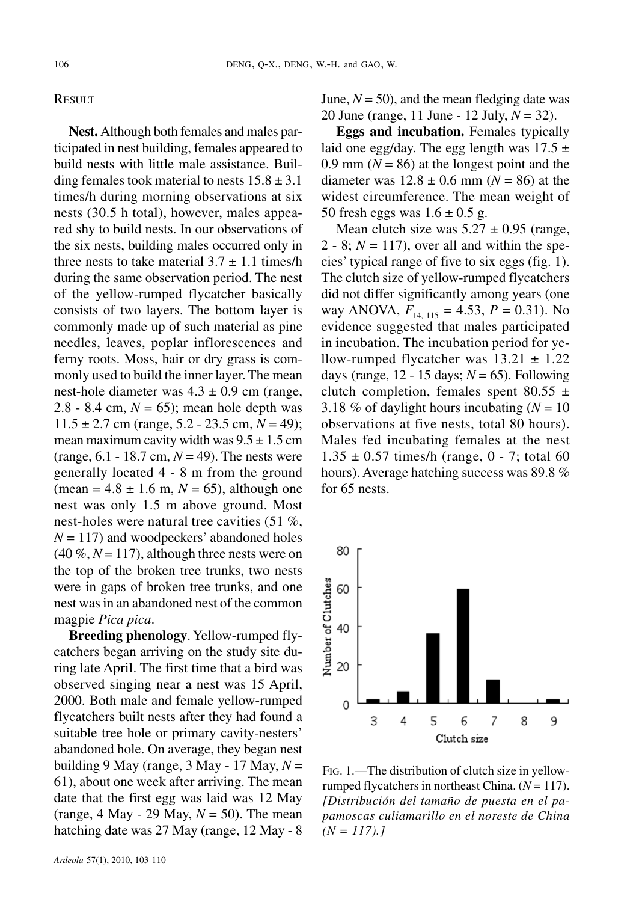### **RESULT**

**Nest.** Although both females and males participated in nest building, females appeared to build nests with little male assistance. Building females took material to nests  $15.8 \pm 3.1$ times/h during morning observations at six nests (30.5 h total), however, males appeared shy to build nests. In our observations of the six nests, building males occurred only in three nests to take material  $3.7 \pm 1.1$  times/h during the same observation period. The nest of the yellow-rumped flycatcher basically consists of two layers. The bottom layer is commonly made up of such material as pine needles, leaves, poplar inflorescences and ferny roots. Moss, hair or dry grass is commonly used to build the inner layer. The mean nest-hole diameter was  $4.3 \pm 0.9$  cm (range, 2.8 - 8.4 cm,  $N = 65$ ; mean hole depth was  $11.5 \pm 2.7$  cm (range, 5.2 - 23.5 cm,  $N = 49$ ); mean maximum cavity width was  $9.5 \pm 1.5$  cm (range,  $6.1 - 18.7$  cm,  $N = 49$ ). The nests were generally located 4 - 8 m from the ground (mean =  $4.8 \pm 1.6$  m,  $N = 65$ ), although one nest was only 1.5 m above ground. Most nest-holes were natural tree cavities (51 %,  $N = 117$ ) and woodpeckers' abandoned holes  $(40\%, N=117)$ , although three nests were on the top of the broken tree trunks, two nests were in gaps of broken tree trunks, and one nest wasin an abandoned nest of the common magpie *Pica pica*.

**Breeding phenology**. Yellow-rumped flycatchers began arriving on the study site during late April. The first time that a bird was observed singing near a nest was 15 April, 2000. Both male and female yellow-rumped flycatchers built nests after they had found a suitable tree hole or primary cavity-nesters' abandoned hole. On average, they began nest building 9 May (range, 3 May - 17 May, *N* = 61), about one week after arriving. The mean date that the first egg was laid was 12 May (range,  $4$  May - 29 May,  $N = 50$ ). The mean hatching date was 27 May (range, 12 May - 8

*Ardeola* 57(1), 2010, 103-110

June,  $N = 50$ ), and the mean fledging date was 20 June (range, 11 June - 12 July, *N* = 32).

**Eggs and incubation.** Females typically laid one egg/day. The egg length was  $17.5 \pm 1$ 0.9 mm  $(N = 86)$  at the longest point and the diameter was  $12.8 \pm 0.6$  mm ( $N = 86$ ) at the widest circumference. The mean weight of 50 fresh eggs was  $1.6 \pm 0.5$  g.

Mean clutch size was  $5.27 \pm 0.95$  (range,  $2 - 8$ ;  $N = 117$ ), over all and within the species' typical range of five to six eggs (fig. 1). The clutch size of yellow-rumped flycatchers did not differ significantly among years (one way ANOVA,  $F_{14, 115} = 4.53$ ,  $P = 0.31$ ). No evidence suggested that males participated in incubation. The incubation period for yellow-rumped flycatcher was  $13.21 \pm 1.22$ days (range,  $12 - 15$  days;  $N = 65$ ). Following clutch completion, females spent  $80.55 \pm$ 3.18 % of daylight hours incubating  $(N = 10)$ observations at five nests, total 80 hours). Males fed incubating females at the nest  $1.35 \pm 0.57$  times/h (range, 0 - 7; total 60 hours). Average hatching success was 89.8 % for 65 nests.



FIG. 1.—The distribution of clutch size in yellowrumped flycatchers in northeast China. (*N* = 117). *[Distribución del tamaño de puesta en el papamoscas culiamarillo en el noreste de China*  $(N = 117).$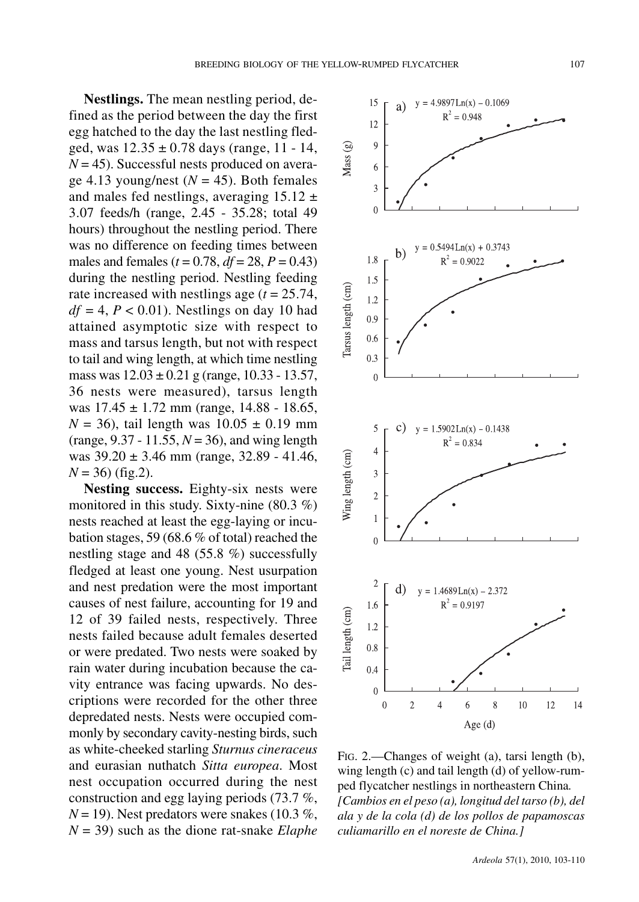**Nestlings.** The mean nestling period, defined as the period between the day the first egg hatched to the day the last nestling fledged, was  $12.35 \pm 0.78$  days (range, 11 - 14,  $N = 45$ ). Successful nests produced on average 4.13 young/nest  $(N = 45)$ . Both females and males fed nestlings, averaging  $15.12 \pm$ 3.07 feeds/h (range, 2.45 - 35.28; total 49 hours) throughout the nestling period. There was no difference on feeding times between males and females ( $t = 0.78$ ,  $df = 28$ ,  $P = 0.43$ ) during the nestling period. Nestling feeding rate increased with nestlings age (*t* = 25.74,  $df = 4$ ,  $P < 0.01$ ). Nestlings on day 10 had attained asymptotic size with respect to mass and tarsus length, but not with respect to tail and wing length, at which time nestling mass was  $12.03 \pm 0.21$  g (range, 10.33 - 13.57, 36 nests were measured), tarsus length was  $17.45 \pm 1.72$  mm (range,  $14.88 - 18.65$ )  $N = 36$ , tail length was  $10.05 \pm 0.19$  mm (range, 9.37 - 11.55, *N* = 36), and wing length was 39.20 ± 3.46 mm (range, 32.89 - 41.46,  $N = 36$ ) (fig.2).

**Nesting success.** Eighty-six nests were monitored in this study. Sixty-nine (80.3 %) nests reached at least the egg-laying or incubation stages, 59 (68.6 % of total) reached the nestling stage and 48 (55.8 %) successfully fledged at least one young. Nest usurpation and nest predation were the most important causes of nest failure, accounting for 19 and 12 of 39 failed nests, respectively. Three nests failed because adult females deserted or were predated. Two nests were soaked by rain water during incubation because the cavity entrance was facing upwards. No descriptions were recorded for the other three depredated nests. Nests were occupied commonly by secondary cavity-nesting birds, such as white-cheeked starling *Sturnus cineraceus* and eurasian nuthatch *Sitta europea*. Most nest occupation occurred during the nest construction and egg laying periods (73.7 %,  $N = 19$ ). Nest predators were snakes (10.3 %, *N* = 39) such as the dione rat-snake *Elaphe*



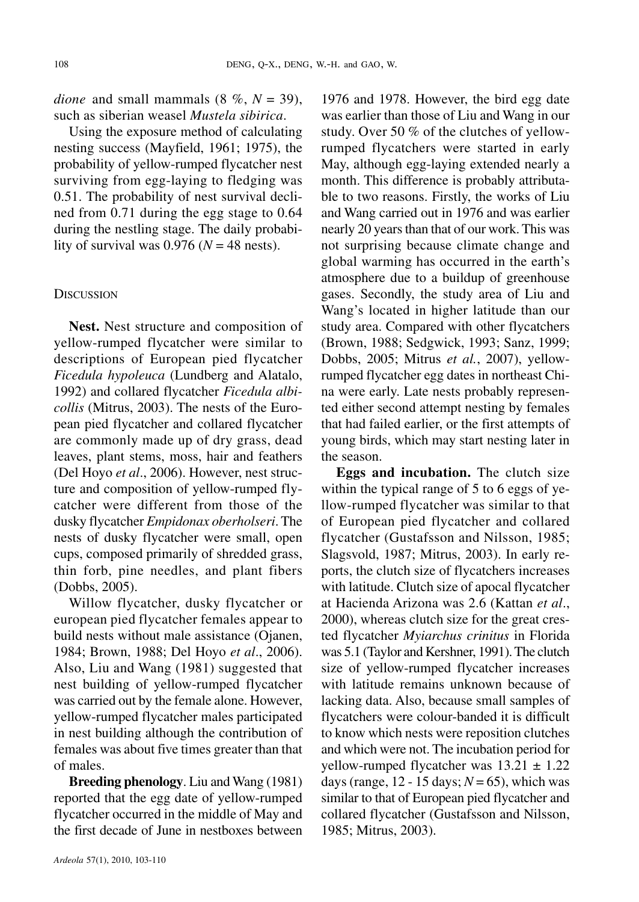*dione* and small mammals  $(8\% , N = 39)$ , such as siberian weasel *Mustela sibirica*.

Using the exposure method of calculating nesting success (Mayfield, 1961; 1975), the probability of yellow-rumped flycatcher nest surviving from egg-laying to fledging was 0.51. The probability of nest survival declined from 0.71 during the egg stage to 0.64 during the nestling stage. The daily probability of survival was  $0.976$  ( $N = 48$  nests).

#### **DISCUSSION**

**Nest.** Nest structure and composition of yellow-rumped flycatcher were similar to descriptions of European pied flycatcher *Ficedula hypoleuca* (Lundberg and Alatalo, 1992) and collared flycatcher *Ficedula albicollis* (Mitrus, 2003). The nests of the European pied flycatcher and collared flycatcher are commonly made up of dry grass, dead leaves, plant stems, moss, hair and feathers (Del Hoyo *et al*., 2006). However, nest structure and composition of yellow-rumped flycatcher were different from those of the dusky flycatcher *Empidonax oberholseri*. The nests of dusky flycatcher were small, open cups, composed primarily of shredded grass, thin forb, pine needles, and plant fibers (Dobbs, 2005).

Willow flycatcher, dusky flycatcher or european pied flycatcher females appear to build nests without male assistance (Ojanen, 1984; Brown, 1988; Del Hoyo *et al*., 2006). Also, Liu and Wang (1981) suggested that nest building of yellow-rumped flycatcher was carried out by the female alone. However, yellow-rumped flycatcher males participated in nest building although the contribution of females was about five times greater than that of males.

**Breeding phenology.** Liu and Wang (1981) reported that the egg date of yellow-rumped flycatcher occurred in the middle of May and the first decade of June in nestboxes between 1976 and 1978. However, the bird egg date was earlier than those of Liu and Wang in our study. Over 50 % of the clutches of yellowrumped flycatchers were started in early May, although egg-laying extended nearly a month. This difference is probably attributable to two reasons. Firstly, the works of Liu and Wang carried out in 1976 and was earlier nearly 20 years than that of our work. This was not surprising because climate change and global warming has occurred in the earth's atmosphere due to a buildup of greenhouse gases. Secondly, the study area of Liu and Wang's located in higher latitude than our study area. Compared with other flycatchers (Brown, 1988; Sedgwick, 1993; Sanz, 1999; Dobbs, 2005; Mitrus *et al.*, 2007), yellowrumped flycatcher egg dates in northeast China were early. Late nests probably represented either second attempt nesting by females that had failed earlier, or the first attempts of young birds, which may start nesting later in the season.

**Eggs and incubation.** The clutch size within the typical range of 5 to 6 eggs of yellow-rumped flycatcher was similar to that of European pied flycatcher and collared flycatcher (Gustafsson and Nilsson, 1985; Slagsvold, 1987; Mitrus, 2003). In early reports, the clutch size of flycatchers increases with latitude. Clutch size of apocal flycatcher at Hacienda Arizona was 2.6 (Kattan *et al*., 2000), whereas clutch size for the great crested flycatcher *Myiarchus crinitus* in Florida was 5.1 (Taylor and Kershner, 1991). The clutch size of yellow-rumped flycatcher increases with latitude remains unknown because of lacking data. Also, because small samples of flycatchers were colour-banded it is difficult to know which nests were reposition clutches and which were not. The incubation period for yellow-rumped flycatcher was  $13.21 \pm 1.22$ days (range,  $12 - 15$  days;  $N = 65$ ), which was similar to that of European pied flycatcher and collared flycatcher (Gustafsson and Nilsson, 1985; Mitrus, 2003).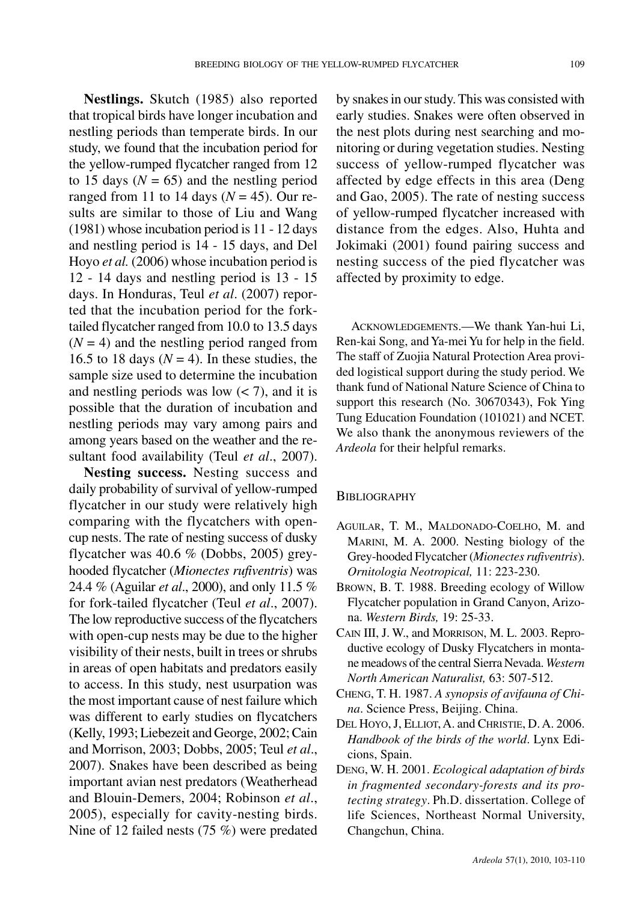**Nestlings.** Skutch (1985) also reported that tropical birds have longer incubation and nestling periods than temperate birds. In our study, we found that the incubation period for the yellow-rumped flycatcher ranged from 12 to 15 days  $(N = 65)$  and the nestling period ranged from 11 to 14 days ( $N = 45$ ). Our results are similar to those of Liu and Wang (1981) whose incubation period is 11 - 12 days and nestling period is 14 - 15 days, and Del Hoyo *et al.* (2006) whose incubation period is 12 - 14 days and nestling period is 13 - 15 days. In Honduras, Teul *et al*. (2007) reported that the incubation period for the forktailed flycatcher ranged from 10.0 to 13.5 days  $(N = 4)$  and the nestling period ranged from 16.5 to 18 days ( $N = 4$ ). In these studies, the sample size used to determine the incubation and nestling periods was low  $(< 7)$ , and it is possible that the duration of incubation and nestling periods may vary among pairs and

sultant food availability (Teul *et al*., 2007). **Nesting success.** Nesting success and daily probability of survival of yellow-rumped flycatcher in our study were relatively high comparing with the flycatchers with opencup nests. The rate of nesting success of dusky flycatcher was 40.6 % (Dobbs, 2005) greyhooded flycatcher (*Mionectes rufiventris*) was 24.4 % (Aguilar *et al*., 2000), and only 11.5 % for fork-tailed flycatcher (Teul *et al*., 2007). The low reproductive success of the flycatchers with open-cup nests may be due to the higher visibility of their nests, built in trees orshrubs in areas of open habitats and predators easily to access. In this study, nest usurpation was the most important cause of nest failure which was different to early studies on flycatchers (Kelly, 1993; Liebezeit and George, 2002; Cain and Morrison, 2003; Dobbs, 2005; Teul *et al*., 2007). Snakes have been described as being important avian nest predators (Weatherhead and Blouin-Demers, 2004; Robinson *et al*., 2005), especially for cavity-nesting birds. Nine of 12 failed nests (75 %) were predated

among years based on the weather and the re-

by snakes in our study. This was consisted with early studies. Snakes were often observed in the nest plots during nest searching and monitoring or during vegetation studies. Nesting success of yellow-rumped flycatcher was affected by edge effects in this area (Deng and Gao, 2005). The rate of nesting success of yellow-rumped flycatcher increased with distance from the edges. Also, Huhta and Jokimaki (2001) found pairing success and nesting success of the pied flycatcher was affected by proximity to edge.

ACKNOWLEDGEMENTS.—We thank Yan-hui Li, Ren-kai Song, and Ya-mei Yu for help in the field. The staff of Zuojia Natural Protection Area provided logistical support during the study period. We thank fund of National Nature Science of China to support this research (No. 30670343), Fok Ying Tung Education Foundation (101021) and NCET. We also thank the anonymous reviewers of the *Ardeola* for their helpful remarks.

#### **BIBLIOGRAPHY**

- AGUILAR, T. M., MALDONADO-COELHO, M. and MARINI, M. A. 2000. Nesting biology of the Grey-hooded Flycatcher (Mionectes rufiventris). *Ornitologia Neotropical,* 11: 223-230.
- BROWN, B. T. 1988. Breeding ecology of Willow Flycatcher population in Grand Canyon, Arizona. *Western Birds,* 19: 25-33.
- CAIN III, J. W., and MORRISON, M. L. 2003. Reproductive ecology of Dusky Flycatchers in montane meadows of the central Sierra Nevada. Western *North American Naturalist,* 63: 507-512.
- CHENG, T. H. 1987. *A synopsis of avifauna of China*. Science Press, Beijing. China.
- DEL HOYO, J. ELLIOT, A. and CHRISTIE, D. A. 2006. *Handbook of the birds of the world*. Lynx Edicions, Spain.
- DENG, W. H. 2001. *Ecological adaptation of birds in fragmented secondary-forests and its protecting strategy*. Ph.D. dissertation. College of life Sciences, Northeast Normal University, Changchun, China.